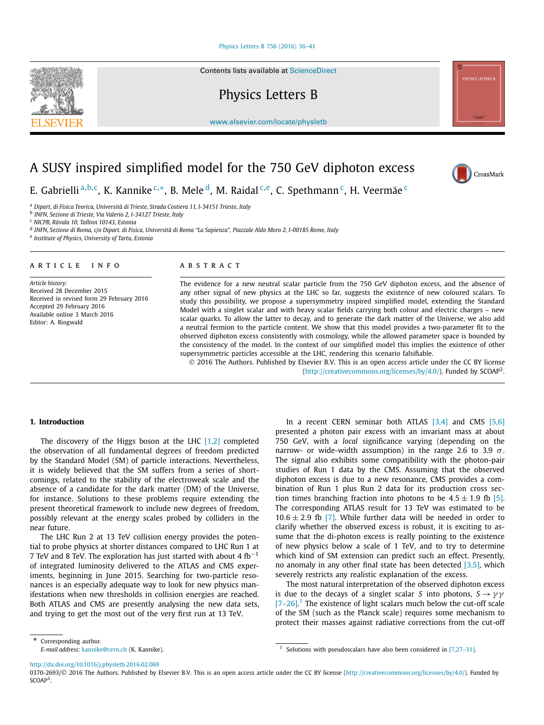#### Physics Letters B 756 (2016) 36–41

Contents lists available at ScienceDirect

Physics Letters B

www.elsevier.com/locate/physletb

# A SUSY inspired simplified model for the 750 GeV diphoton excess

E. Gabrielli <sup>a</sup>*,*b*,*c, K. Kannike <sup>c</sup>*,*∗, B. Mele d, M. Raidal <sup>c</sup>*,*e, C. Spethmann c, H. Veermäe <sup>c</sup>

<sup>a</sup> *Dipart. di Fisica Teorica, Università di Trieste, Strada Costiera 11, I-34151 Trieste, Italy*

<sup>b</sup> *INFN, Sezione di Trieste, Via Valerio 2, I-34127 Trieste, Italy*

<sup>c</sup> *NICPB, Rävala 10, Tallinn 10143, Estonia*

<sup>d</sup> INFN, Sezione di Roma, c/o Dipart. di Fisica, Università di Roma "La Sapienza", Piazzale Aldo Moro 2, I-00185 Rome, Italy <sup>e</sup> *Institute of Physics, University of Tartu, Estonia*

#### A R T I C L E I N F O A B S T R A C T

*Article history:* Received 28 December 2015 Received in revised form 29 February 2016 Accepted 29 February 2016 Available online 3 March 2016 Editor: A. Ringwald

The evidence for a new neutral scalar particle from the 750 GeV diphoton excess, and the absence of any other signal of new physics at the LHC so far, suggests the existence of new coloured scalars. To study this possibility, we propose a supersymmetry inspired simplified model, extending the Standard Model with a singlet scalar and with heavy scalar fields carrying both colour and electric charges – new scalar quarks. To allow the latter to decay, and to generate the dark matter of the Universe, we also add a neutral fermion to the particle content. We show that this model provides a two-parameter fit to the observed diphoton excess consistently with cosmology, while the allowed parameter space is bounded by the consistency of the model. In the context of our simplified model this implies the existence of other supersymmetric particles accessible at the LHC, rendering this scenario falsifiable.

© 2016 The Authors. Published by Elsevier B.V. This is an open access article under the CC BY license (http://creativecommons.org/licenses/by/4.0/). Funded by SCOAP3.

# **1. Introduction**

The discovery of the Higgs boson at the LHC  $[1,2]$  completed the observation of all fundamental degrees of freedom predicted by the Standard Model (SM) of particle interactions. Nevertheless, it is widely believed that the SM suffers from a series of shortcomings, related to the stability of the electroweak scale and the absence of a candidate for the dark matter (DM) of the Universe, for instance. Solutions to these problems require extending the present theoretical framework to include new degrees of freedom, possibly relevant at the energy scales probed by colliders in the near future.

The LHC Run 2 at 13 TeV collision energy provides the potential to probe physics at shorter distances compared to LHC Run 1 at 7 TeV and 8 TeV. The exploration has just started with about 4  $fb^{-1}$ of integrated luminosity delivered to the ATLAS and CMS experiments, beginning in June 2015. Searching for two-particle resonances is an especially adequate way to look for new physics manifestations when new thresholds in collision energies are reached. Both ATLAS and CMS are presently analysing the new data sets, and trying to get the most out of the very first run at 13 TeV.

In a recent CERN seminar both ATLAS  $[3,4]$  and CMS  $[5,6]$ presented a photon pair excess with an invariant mass at about 750 GeV, with a *local* significance varying (depending on the narrow- or wide-width assumption) in the range 2.6 to 3.9 *σ* . The signal also exhibits some compatibility with the photon-pair studies of Run 1 data by the CMS. Assuming that the observed diphoton excess is due to a new resonance, CMS provides a combination of Run 1 plus Run 2 data for its production cross section times branching fraction into photons to be  $4.5 \pm 1.9$  fb [5]. The corresponding ATLAS result for 13 TeV was estimated to be  $10.6 \pm 2.9$  fb [7]. While further data will be needed in order to clarify whether the observed excess is robust, it is exciting to assume that the di-photon excess is really pointing to the existence of new physics below a scale of 1 TeV, and to try to determine which kind of SM extension can predict such an effect. Presently, no anomaly in any other final state has been detected [3,5], which severely restricts any realistic explanation of the excess.

The most natural interpretation of the observed diphoton excess is due to the decays of <sup>a</sup> singlet scalar *<sup>S</sup>* into photons, *<sup>S</sup>* → *γγ*  $[7-26]$ <sup>1</sup>. The existence of light scalars much below the cut-off scale of the SM (such as the Planck scale) requires some mechanism to protect their masses against radiative corrections from the cut-off

http://dx.doi.org/10.1016/j.physletb.2016.02.069

0370-2693/© 2016 The Authors. Published by Elsevier B.V. This is an open access article under the CC BY license (http://creativecommons.org/licenses/by/4.0/). Funded by  $SCAP<sup>3</sup>$ 







<sup>\*</sup> Corresponding author. *E-mail address:* kannike@cern.ch (K. Kannike).

<sup>&</sup>lt;sup>1</sup> Solutions with pseudoscalars have also been considered in  $[7,27-31]$ .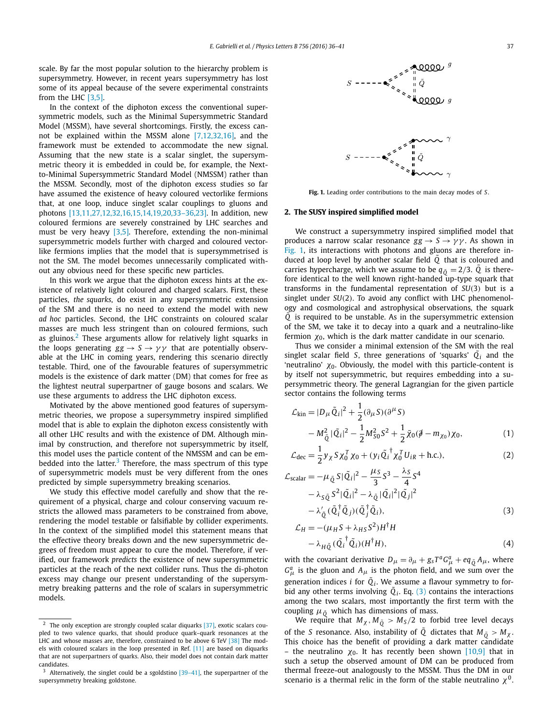scale. By far the most popular solution to the hierarchy problem is supersymmetry. However, in recent years supersymmetry has lost some of its appeal because of the severe experimental constraints from the LHC [3,5].

In the context of the diphoton excess the conventional supersymmetric models, such as the Minimal Supersymmetric Standard Model (MSSM), have several shortcomings. Firstly, the excess cannot be explained within the MSSM alone [7,12,32,16], and the framework must be extended to accommodate the new signal. Assuming that the new state is a scalar singlet, the supersymmetric theory it is embedded in could be, for example, the Nextto-Minimal Supersymmetric Standard Model (NMSSM) rather than the MSSM. Secondly, most of the diphoton excess studies so far have assumed the existence of heavy coloured vectorlike fermions that, at one loop, induce singlet scalar couplings to gluons and photons [13,11,27,12,32,16,15,14,19,20,33–36,23]. In addition, new coloured fermions are severely constrained by LHC searches and must be very heavy [3,5]. Therefore, extending the non-minimal supersymmetric models further with charged and coloured vectorlike fermions implies that the model that is supersymmetrised is not the SM. The model becomes unnecessarily complicated without any obvious need for these specific new particles.

In this work we argue that the diphoton excess hints at the existence of relatively light coloured and charged scalars. First, these particles, *the squarks*, do exist in any supersymmetric extension of the SM and there is no need to extend the model with new *ad hoc* particles. Second, the LHC constraints on coloured scalar masses are much less stringent than on coloured fermions, such as gluinos.<sup>2</sup> These arguments allow for relatively light squarks in the loops generating  $gg \rightarrow S \rightarrow \gamma \gamma$  that are potentially observable at the LHC in coming years, rendering this scenario directly testable. Third, one of the favourable features of supersymmetric models is the existence of dark matter (DM) that comes for free as the lightest neutral superpartner of gauge bosons and scalars. We use these arguments to address the LHC diphoton excess.

Motivated by the above mentioned good features of supersymmetric theories, we propose a supersymmetry inspired simplified model that is able to explain the diphoton excess consistently with all other LHC results and with the existence of DM. Although minimal by construction, and therefore not supersymmetric by itself, this model uses the particle content of the NMSSM and can be embedded into the latter. $3$  Therefore, the mass spectrum of this type of supersymmetric models must be very different from the ones predicted by simple supersymmetry breaking scenarios.

We study this effective model carefully and show that the requirement of a physical, charge and colour conserving vacuum restricts the allowed mass parameters to be constrained from above, rendering the model testable or falsifiable by collider experiments. In the context of the simplified model this statement means that the effective theory breaks down and the new supersymmetric degrees of freedom must appear to cure the model. Therefore, if verified, our framework *predicts* the existence of new supersymmetric particles at the reach of the next collider runs. Thus the di-photon excess may change our present understanding of the supersymmetry breaking patterns and the role of scalars in supersymmetric models.



**Fig. 1.** Leading order contributions to the main decay modes of *S*.

### **2. The SUSY inspired simplified model**

We construct a supersymmetry inspired simplified model that produces a narrow scalar resonance  $gg \rightarrow S \rightarrow \gamma \gamma$ . As shown in Fig. 1, its interactions with photons and gluons are therefore induced at loop level by another scalar field *Q*˜ that is coloured and carries hypercharge, which we assume to be  $q_{\tilde{O}} = 2/3$ . *Q* is therefore identical to the well known right-handed up-type squark that transforms in the fundamental representation of *SU(*3*)* but is a singlet under *SU(*2*)*. To avoid any conflict with LHC phenomenology and cosmological and astrophysical observations, the squark *Q*˜ is required to be unstable. As in the supersymmetric extension of the SM, we take it to decay into a quark and a neutralino-like fermion *χ*0, which is the dark matter candidate in our scenario.

Thus we consider a minimal extension of the SM with the real singlet scalar field *S*, three generations of 'squarks'  $\tilde{Q}_i$  and the 'neutralino'  $χ_0$ . Obviously, the model with this particle-content is by itself not supersymmetric, but requires embedding into a supersymmetric theory. The general Lagrangian for the given particle sector contains the following terms

$$
\mathcal{L}_{\text{kin}} = |D_{\mu} \tilde{Q}_i|^2 + \frac{1}{2} (\partial_{\mu} S)(\partial^{\mu} S) \n- M_{\tilde{Q}}^2 |\tilde{Q}_i|^2 - \frac{1}{2} M_{S0}^2 S^2 + \frac{1}{2} \bar{\chi}_0 (\tilde{\phi} - m_{\chi_0}) \chi_0,
$$
\n(1)

$$
\mathcal{L}_{\text{dec}} = \frac{1}{2} y_{\chi} S \chi_0^T \chi_0 + (y_i \tilde{Q}_i^{\dagger} \chi_0^T U_{iR} + \text{h.c.}),
$$
\n(2)

$$
\mathcal{L}_{\text{scalar}} = -\mu_{\tilde{Q}} S |\tilde{Q}_i|^2 - \frac{\mu_S}{3} S^3 - \frac{\lambda_S}{4} S^4 \n- \lambda_{S\tilde{Q}} S^2 |\tilde{Q}_i|^2 - \lambda_{\tilde{Q}} |\tilde{Q}_i|^2 |\tilde{Q}_j|^2 \n- \lambda'_{\tilde{Q}} (\tilde{Q}_i^{\dagger} \tilde{Q}_j) (\tilde{Q}_j^{\dagger} \tilde{Q}_i),
$$
\n(3)

$$
\mathcal{L}_H = -(\mu_H S + \lambda_{HS} S^2) H^{\dagger} H \n- \lambda_{H \tilde{Q}} (\tilde{Q}_i^{\dagger} \tilde{Q}_i) (H^{\dagger} H),
$$
\n(4)

with the covariant derivative  $D_{\mu} = \partial_{\mu} + g_{s}T^{a}G_{\mu}^{a} + eq_{\tilde{Q}}A_{\mu}$ , where  $G^a_\mu$  is the gluon and  $A_\mu$  is the photon field, and we sum over the generation indices *i* for  $\tilde{Q}_i$ . We assume a flavour symmetry to forbid any other terms involving  $\tilde{Q}_i$ . Eq. (3) contains the interactions among the two scalars, most importantly the first term with the coupling  $\mu_{\tilde{o}}$  which has dimensions of mass.

We require that  $M_\chi$ ,  $M_{\tilde{Q}} > M_S/2$  to forbid tree level decays of the *S* resonance. Also, instability of  $\tilde{Q}$  dictates that  $M_{\tilde{Q}} > M_{\chi}$ . This choice has the benefit of providing a dark matter candidate – the neutralino  $\chi_0$ . It has recently been shown [10,9] that in such a setup the observed amount of DM can be produced from thermal freeze-out analogously to the MSSM. Thus the DM in our scenario is a thermal relic in the form of the stable neutralino *χ*0.

 $2$  The only exception are strongly coupled scalar diquarks [37], exotic scalars coupled to two valence quarks, that should produce quark–quark resonances at the LHC and whose masses are, therefore, constrained to be above 6 TeV [38] The models with coloured scalars in the loop presented in Ref. [11] are based on diquarks that are not superpartners of quarks. Also, their model does not contain dark matter candidates.

Alternatively, the singlet could be a sgoldstino  $[39-41]$ , the superpartner of the supersymmetry breaking goldstone.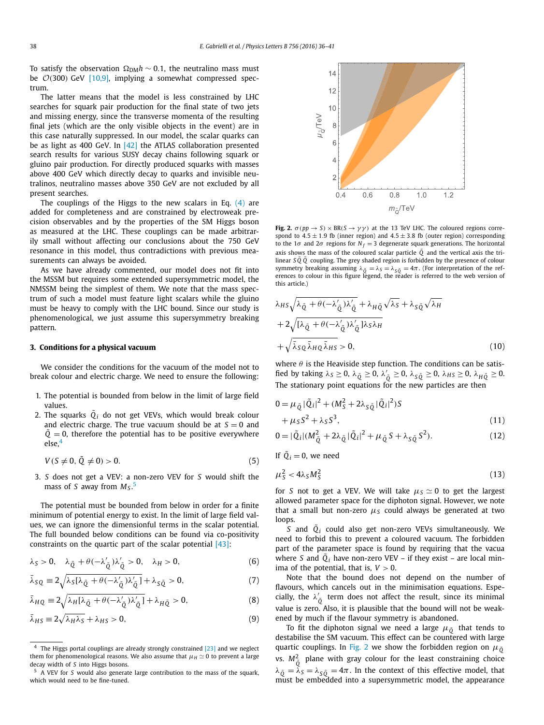To satisfy the observation  $\Omega_{DM}h \sim 0.1$ , the neutralino mass must be O*(*300*)* GeV [10,9], implying <sup>a</sup> somewhat compressed spectrum.

The latter means that the model is less constrained by LHC searches for squark pair production for the final state of two jets and missing energy, since the transverse momenta of the resulting final jets (which are the only visible objects in the event) are in this case naturally suppressed. In our model, the scalar quarks can be as light as 400 GeV. In [42] the ATLAS collaboration presented search results for various SUSY decay chains following squark or gluino pair production. For directly produced squarks with masses above 400 GeV which directly decay to quarks and invisible neutralinos, neutralino masses above 350 GeV are not excluded by all present searches.

The couplings of the Higgs to the new scalars in Eq.  $(4)$  are added for completeness and are constrained by electroweak precision observables and by the properties of the SM Higgs boson as measured at the LHC. These couplings can be made arbitrarily small without affecting our conclusions about the 750 GeV resonance in this model, thus contradictions with previous measurements can always be avoided.

As we have already commented, our model does not fit into the MSSM but requires some extended supersymmetric model, the NMSSM being the simplest of them. We note that the mass spectrum of such a model must feature light scalars while the gluino must be heavy to comply with the LHC bound. Since our study is phenomenological, we just assume this supersymmetry breaking pattern.

#### **3. Conditions for a physical vacuum**

We consider the conditions for the vacuum of the model not to break colour and electric charge. We need to ensure the following:

- 1. The potential is bounded from below in the limit of large field values.
- 2. The squarks  $\tilde{Q}_i$  do not get VEVs, which would break colour and electric charge. The true vacuum should be at  $S = 0$  and  $Q = 0$ , therefore the potential has to be positive everywhere else,<sup>4</sup>

$$
V(S \neq 0, \tilde{Q} \neq 0) > 0. \tag{5}
$$

3. *S* does not get a VEV: a non-zero VEV for *S* would shift the mass of *S* away from *MS* . 5

The potential must be bounded from below in order for a finite minimum of potential energy to exist. In the limit of large field values, we can ignore the dimensionful terms in the scalar potential. The full bounded below conditions can be found via co-positivity constraints on the quartic part of the scalar potential [43]:

$$
\lambda_S > 0, \quad \lambda_{\tilde{Q}} + \theta(-\lambda_{\tilde{Q}}')\lambda_{\tilde{Q}}' > 0, \quad \lambda_H > 0,
$$
 (6)

$$
\bar{\lambda}_{SQ} \equiv 2\sqrt{\lambda_{S}[\lambda_{\tilde{Q}} + \theta(-\lambda_{\tilde{Q}}')\lambda_{\tilde{Q}}'] + \lambda_{S\tilde{Q}} > 0, \tag{7}
$$

$$
\bar{\lambda}_{HQ} \equiv 2\sqrt{\lambda_H[\lambda_{\tilde{Q}} + \theta(-\lambda_{\tilde{Q}}')\lambda_{\tilde{Q}}']} + \lambda_{H\tilde{Q}} > 0,
$$
\n(8)

$$
\bar{\lambda}_{HS} \equiv 2\sqrt{\lambda_H \lambda_S} + \lambda_{HS} > 0,\tag{9}
$$



**Fig. 2.**  $\sigma(pp \to S) \times BR(S \to \gamma \gamma)$  at the 13 TeV LHC. The coloured regions correspond to  $4.5 \pm 1.9$  fb (inner region) and  $4.5 \pm 3.8$  fb (outer region) corresponding to the 1 $\sigma$  and 2 $\sigma$  regions for  $N_f = 3$  degenerate squark generations. The horizontal axis shows the mass of the coloured scalar particle  $\tilde{Q}$  and the vertical axis the trilinear *S Q*˜ *Q*˜ coupling. The grey shaded region is forbidden by the presence of colour symmetry breaking assuming  $\lambda_{\tilde{Q}} = \lambda_S = \lambda_{S\tilde{Q}} = 4\pi$ . (For interpretation of the references to colour in this figure legend, the reader is referred to the web version of this article.)

$$
\lambda_{HS} \sqrt{\lambda_{\tilde{Q}} + \theta - \lambda_{\tilde{Q}}' \lambda_{\tilde{Q}}' + \lambda_{H\tilde{Q}} \sqrt{\lambda_{S}} + \lambda_{S\tilde{Q}} \sqrt{\lambda_{H}}}
$$
  
+2\sqrt{[\lambda\_{\tilde{Q}} + \theta - \lambda\_{\tilde{Q}}' \lambda\_{\tilde{Q}}' ]\lambda\_{S}\lambda\_{H}}  
+ \sqrt{\bar{\lambda}\_{SQ} \bar{\lambda}\_{HQ} \bar{\lambda}\_{HS} > 0, (10)

where  $\theta$  is the Heaviside step function. The conditions can be satis- $\frac{1}{2}$  fied by taking  $λ_S ≥ 0$ ,  $λ_{\tilde{Q}} ≥ 0$ ,  $λ_{\tilde{Q}} ≥ 0$ ,  $λ_{S\tilde{Q}} ≥ 0$ ,  $λ_{HS} ≥ 0$ ,  $λ_{H\tilde{Q}} ≥ 0$ . The stationary point equations for the new particles are then

$$
0 = \mu_{\tilde{Q}} |\tilde{Q}_i|^2 + (M_S^2 + 2\lambda_{S\tilde{Q}} |\tilde{Q}_i|^2) S + \mu_S S^2 + \lambda_S S^3,
$$
 (11)

$$
0 = |\tilde{Q}_i| (M_{\tilde{Q}}^2 + 2\lambda_{\tilde{Q}} |\tilde{Q}_i|^2 + \mu_{\tilde{Q}} S + \lambda_{S\tilde{Q}} S^2).
$$
 (12)

If  $\tilde{Q}_i = 0$ , we need

$$
\mu_S^2 < 4\lambda_S M_S^2 \tag{13}
$$

for *S* not to get a VEV. We will take  $\mu_s \simeq 0$  to get the largest allowed parameter space for the diphoton signal. However, we note that a small but non-zero  $\mu<sub>S</sub>$  could always be generated at two loops.

*S* and  $\tilde{Q}_i$  could also get non-zero VEVs simultaneously. We need to forbid this to prevent a coloured vacuum. The forbidden part of the parameter space is found by requiring that the vacua where *S* and  $\tilde{Q}_i$  have non-zero VEV – if they exist – are local minima of the potential, that is,  $V > 0$ .

Note that the bound does not depend on the number of flavours, which cancels out in the minimisation equations. Especially, the  $\lambda_{\tilde{Q}}'$  term does not affect the result, since its minimal value is zero. Also, it is plausible that the bound will not be weakened by much if the flavour symmetry is abandoned.

To fit the diphoton signal we need a large  $\mu_{\tilde{O}}$  that tends to destabilise the SM vacuum. This effect can be countered with large quartic couplings. In Fig. 2 we show the forbidden region on  $\mu_{\tilde{0}}$ vs.  $M_{\tilde{Q}}^2$  plane with gray colour for the least constraining choice  $\lambda_{\tilde{Q}} = \tilde{\lambda}_S = \lambda_{\tilde{S}\tilde{Q}} = 4\pi$ . In the context of this effective model, that must be embedded into a supersymmetric model, the appearance

<sup>4</sup> The Higgs portal couplings are already strongly constrained [23] and we neglect them for phenomenological reasons. We also assume that  $\mu_H \simeq 0$  to prevent a large decay width of *S* into Higgs bosons.

<sup>5</sup> A VEV for *S* would also generate large contribution to the mass of the squark, which would need to be fine-tuned.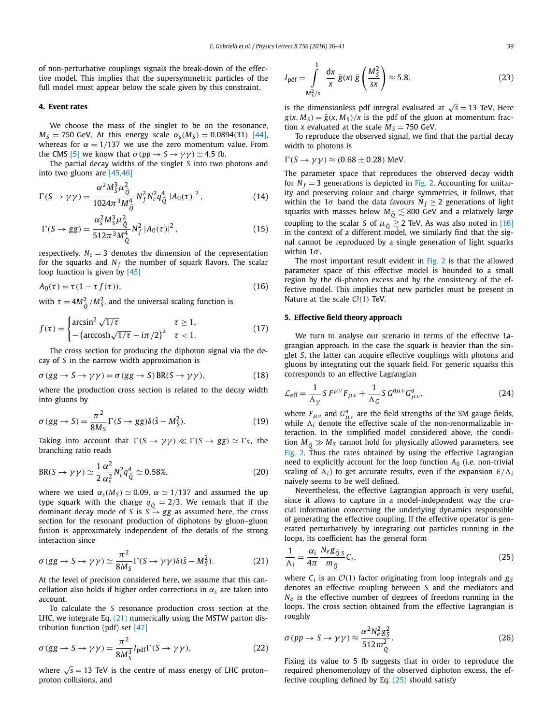of non-perturbative couplings signals the break-down of the effective model. This implies that the supersymmetric particles of the full model must appear below the scale given by this constraint.

# **4. Event rates**

We choose the mass of the singlet to be on the resonance, *M<sub>S</sub>* = 750 GeV. At this energy scale  $\alpha_s(M_s) = 0.0894(31)$  [44], whereas for  $\alpha = 1/137$  we use the zero momentum value. From the CMS [5] we know that  $\sigma(pp \to S \to \gamma \gamma) \simeq 4.5$  fb.

The partial decay widths of the singlet *S* into two photons and into two gluons are [45,46]

$$
\Gamma(S \to \gamma \gamma) = \frac{\alpha^2 M_S^3 \mu_{\tilde{Q}}^2}{1024\pi^3 M_{\tilde{Q}}^4} N_f^2 N_c^2 q_{\tilde{Q}}^4 |A_0(\tau)|^2, \qquad (14)
$$

$$
\Gamma(S \to gg) = \frac{\alpha_s^2 M_S^3 \mu_{\tilde{Q}}^2}{512\pi^3 M_{\tilde{Q}}^4} N_f^2 |A_0(\tau)|^2, \qquad (15)
$$

respectively.  $N_c = 3$  denotes the dimension of the representation for the squarks and  $N_f$  the number of squark flavors. The scalar loop function is given by [45]

$$
A_0(\tau) = \tau (1 - \tau f(\tau)),\tag{16}
$$

with  $\tau = 4M_{\tilde{Q}}^2/M_S^2$ , and the universal scaling function is

$$
f(\tau) = \begin{cases} \arcsin^2 \sqrt{1/\tau} & \tau \ge 1, \\ -\left(\arccosh\sqrt{1/\tau} - i\pi/2\right)^2 & \tau < 1. \end{cases}
$$
(17)

The cross section for producing the diphoton signal via the decay of *S* in the narrow width approximation is

$$
\sigma(gg \to S \to \gamma \gamma) = \sigma(gg \to S) BR(S \to \gamma \gamma), \tag{18}
$$

where the production cross section is related to the decay width into gluons by

$$
\sigma(gg \to S) = \frac{\pi^2}{8M_S} \Gamma(S \to gg) \delta(\hat{s} - M_S^2). \tag{19}
$$

Taking into account that  $\Gamma(S \to \gamma \gamma) \ll \Gamma(S \to gg) \simeq \Gamma_S$ , the branching ratio reads

BR(S 
$$
\rightarrow \gamma \gamma
$$
)  $\simeq \frac{1}{2} \frac{\alpha^2}{\alpha_s^2} N_c^2 q_{\tilde{Q}}^4 \simeq 0.58\%,$  (20)

where we used  $\alpha_s(M_s) \simeq 0.09$ ,  $\alpha \simeq 1/137$  and assumed the up type squark with the charge  $q_{\tilde{Q}} = 2/3$ . We remark that if the dominant decay mode of *S* is  $S \rightarrow gg$  as assumed here, the cross section for the resonant production of diphotons by gluon–gluon fusion is approximately independent of the details of the strong interaction since

$$
\sigma (gg \to S \to \gamma \gamma) \simeq \frac{\pi^2}{8M_S} \Gamma(S \to \gamma \gamma) \delta(\hat{s} - M_S^2). \tag{21}
$$

At the level of precision considered here, we assume that this cancellation also holds if higher order corrections in *α<sup>s</sup>* are taken into account.

To calculate the *S* resonance production cross section at the LHC, we integrate Eq.  $(21)$  numerically using the MSTW parton distribution function (pdf) set [47]

$$
\sigma(gg \to S \to \gamma \gamma) = \frac{\pi^2}{8M_S^3} I_{\text{pdf}} \Gamma(S \to \gamma \gamma), \tag{22}
$$

where  $\sqrt{s}$  = 13 TeV is the centre of mass energy of LHC proton– proton collisions, and

$$
I_{\text{pdf}} = \int_{\frac{M_{\text{S}}^2}{S}}^1 \frac{dx}{x} \,\bar{g}(x) \,\bar{g}\left(\frac{M_{\text{S}}^2}{sx}\right) \approx 5.8,\tag{23}
$$

is the dimensionless pdf integral evaluated at  $\sqrt{s}$  = 13 TeV. Here  $g(x, M_S) = \overline{g}(x, M_S)/x$  is the pdf of the gluon at momentum fraction *x* evaluated at the scale  $M<sub>S</sub> = 750$  GeV.

To reproduce the observed signal, we find that the partial decay width to photons is

$$
\Gamma(S \to \gamma \gamma) \approx (0.68 \pm 0.28)
$$
 MeV.

The parameter space that reproduces the observed decay width for  $N_f = 3$  generations is depicted in Fig. 2. Accounting for unitarity and preserving colour and charge symmetries, it follows, that within the 1 $\sigma$  band the data favours  $N_f \geq 2$  generations of light squarks with masses below  $M_{\tilde{Q}} \lesssim$  800 GeV and a relatively large coupling to the scalar *S* of  $\mu_{\tilde{Q}} \gtrsim 2$  TeV. As was also noted in [16] in the context of a different model, we similarly find that the signal cannot be reproduced by a single generation of light squarks within 1*σ* .

The most important result evident in Fig. 2 is that the allowed parameter space of this effective model is bounded to a small region by the di-photon excess and by the consistency of the effective model. This implies that new particles must be present in Nature at the scale  $O(1)$  TeV.

## **5. Effective field theory approach**

We turn to analyse our scenario in terms of the effective Lagrangian approach. In the case the squark is heavier than the singlet *S*, the latter can acquire effective couplings with photons and gluons by integrating out the squark field. For generic squarks this corresponds to an effective Lagrangian

$$
\mathcal{L}_{\text{eff}} = \frac{1}{\Lambda_{\gamma}} S F^{\mu\nu} F_{\mu\nu} + \frac{1}{\Lambda_G} S G^{a\mu\nu} G^{a}_{\mu\nu}, \tag{24}
$$

where  $F_{\mu\nu}$  and  $G_{\mu\nu}^a$  are the field strengths of the SM gauge fields, while  $\Lambda_i$  denote the effective scale of the non-renormalizable interaction. In the simplified model considered above, the condition  $M_{\tilde{O}} \gg M_S$  cannot hold for physically allowed parameters, see Fig. 2. Thus the rates obtained by using the effective Lagrangian need to explicitly account for the loop function *A*<sup>0</sup> (i.e. non-trivial scaling of  $\Lambda_i$ ) to get accurate results, even if the expansion  $E/\Lambda_i$ naively seems to be well defined.

Nevertheless, the effective Lagrangian approach is very useful, since it allows to capture in a model-independent way the crucial information concerning the underlying dynamics responsible of generating the effective coupling. If the effective operator is generated perturbatively by integrating out particles running in the loops, its coefficient has the general form

$$
\frac{1}{\Lambda_i} = \frac{\alpha_i}{4\pi} \frac{N_e g_{\tilde{Q}S}}{m_{\tilde{Q}}} C_i,
$$
\n(25)

where  $C_i$  is an  $\mathcal{O}(1)$  factor originating from loop integrals and  $g_S$ denotes an effective coupling between *S* and the mediators and *N<sub>e</sub>* is the effective number of degrees of freedom running in the loops. The cross section obtained from the effective Lagrangian is roughly

$$
\sigma(pp \to S \to \gamma \gamma) \approx \frac{\alpha^2 N_e^2 g_S^2}{512 m_{\tilde{Q}}^2}.
$$
 (26)

Fixing its value to 5 fb suggests that in order to reproduce the required phenomenology of the observed diphoton excess, the effective coupling defined by Eq.  $(25)$  should satisfy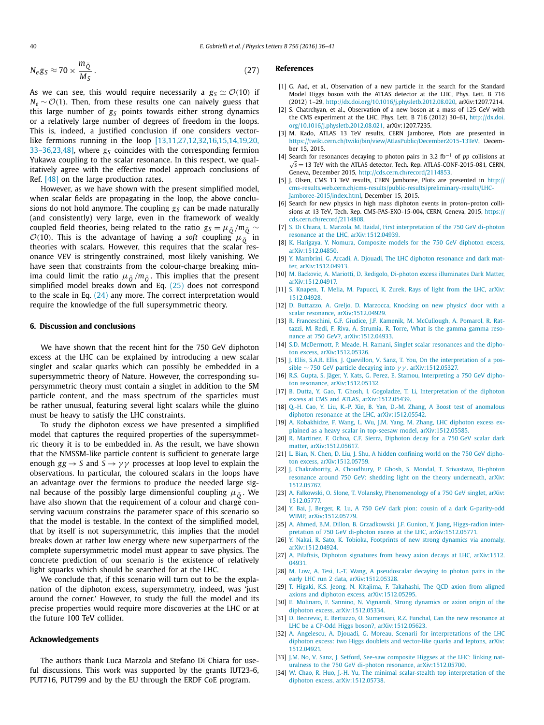$$
N_e g_S \approx 70 \times \frac{m_{\tilde{Q}}}{M_S} \,. \tag{27}
$$

As we can see, this would require necessarily a  $g_S \simeq \mathcal{O}(10)$  if  $N_e \sim \mathcal{O}(1)$ . Then, from these results one can naively guess that this large number of  $g_S$  points towards either strong dynamics or a relatively large number of degrees of freedom in the loops. This is, indeed, a justified conclusion if one considers vectorlike fermions running in the loop [13,11,27,12,32,16,15,14,19,20, 33–36,23,48], where  $g_S$  coincides with the corresponding fermion Yukawa coupling to the scalar resonance. In this respect, we qualitatively agree with the effective model approach conclusions of Ref. [48] on the large production rates.

However, as we have shown with the present simplified model, when scalar fields are propagating in the loop, the above conclusions do not hold anymore. The coupling  $g_S$  can be made naturally (and consistently) very large, even in the framework of weakly coupled field theories, being related to the ratio  $g_S = \mu_{\tilde{O}}/m_{\tilde{O}} \sim$  $\mathcal{O}(10)$ . This is the advantage of having a *soft* coupling  $\mu_0^{\text{v}}$  in theories with scalars. However, this requires that the scalar resonance VEV is stringently constrained, most likely vanishing. We have seen that constraints from the colour-charge breaking minima could limit the ratio  $\mu_{\tilde{0}}/m_{\tilde{0}}$ . This implies that the present simplified model breaks down and Eq. (25) does not correspond to the scale in Eq. (24) any more. The correct interpretation would require the knowledge of the full supersymmetric theory.

# **6. Discussion and conclusions**

We have shown that the recent hint for the 750 GeV diphoton excess at the LHC can be explained by introducing a new scalar singlet and scalar quarks which can possibly be embedded in a supersymmetric theory of Nature. However, the corresponding supersymmetric theory must contain a singlet in addition to the SM particle content, and the mass spectrum of the sparticles must be rather unusual, featuring several light scalars while the gluino must be heavy to satisfy the LHC constraints.

To study the diphoton excess we have presented a simplified model that captures the required properties of the supersymmetric theory it is to be embedded in. As the result, we have shown that the NMSSM-like particle content is sufficient to generate large enough  $gg \rightarrow S$  and  $S \rightarrow \gamma \gamma$  processes at loop level to explain the observations. In particular, the coloured scalars in the loops have an advantage over the fermions to produce the needed large signal because of the possibly large dimensionful coupling  $\mu_{\tilde{o}}$ . We have also shown that the requirement of a colour and charge conserving vacuum constrains the parameter space of this scenario so that the model is testable. In the context of the simplified model, that by itself is not supersymmetric, this implies that the model breaks down at rather low energy where new superpartners of the complete supersymmetric model must appear to save physics. The concrete prediction of our scenario is the existence of relatively light squarks which should be searched for at the LHC.

We conclude that, if this scenario will turn out to be the explanation of the diphoton excess, supersymmetry, indeed, was 'just around the corner.' However, to study the full the model and its precise properties would require more discoveries at the LHC or at the future 100 TeV collider.

#### **Acknowledgements**

The authors thank Luca Marzola and Stefano Di Chiara for useful discussions. This work was supported by the grants IUT23-6, PUT716, PUT799 and by the EU through the ERDF CoE program.

# **References**

- [1] G. Aad, et al., Observation of a new particle in the search for the Standard Model Higgs boson with the ATLAS detector at the LHC, Phys. Lett. B 716 (2012) 1–29, http://dx.doi.org/10.1016/j.physletb.2012.08.020, arXiv:1207.7214.
- [2] S. Chatrchyan, et al., Observation of a new boson at a mass of 125 GeV with the CMS experiment at the LHC, Phys. Lett. B 716 (2012) 30–61, http://dx.doi. org/10.1016/j.physletb.2012.08.021, arXiv:1207.7235.
- [3] M. Kado, ATLAS 13 TeV results, CERN Jamboree, Plots are presented in https://twiki.cern.ch/twiki/bin/view/AtlasPublic/December2015-13TeV, December 15, 2015.
- [4] Search for resonances decaying to photon pairs in 3.2 fb−<sup>1</sup> of *pp* collisions at <sup>√</sup>*<sup>s</sup>* <sup>=</sup> 13 TeV with the ATLAS detector, Tech. Rep. ATLAS-CONF-2015-081, CERN, Geneva, December 2015, http://cds.cern.ch/record/2114853.
- [5] J. Olsen, CMS 13 TeV results, CERN Jamboree, Plots are presented in http:// cms-results.web.cern.ch/cms-results/public-results/preliminary-results/LHC-Jamboree-2015/index.html, December 15, 2015.
- [6] Search for new physics in high mass diphoton events in proton–proton collisions at 13 TeV, Tech. Rep. CMS-PAS-EXO-15-004, CERN, Geneva, 2015, https:// cds.cern.ch/record/2114808.
- [7] S. Di Chiara, L. Marzola, M. Raidal, First interpretation of the 750 GeV di-photon resonance at the LHC, arXiv:1512.04939.
- [8] K. Harigaya, Y. Nomura, Composite models for the 750 GeV diphoton excess, arXiv:1512.04850.
- [9] Y. Mambrini, G. Arcadi, A. Djouadi, The LHC diphoton resonance and dark matter, arXiv:1512.04913.
- [10] M. Backovic, A. Mariotti, D. Redigolo, Di-photon excess illuminates Dark Matter, arXiv:1512.04917.
- [11] S. Knapen, T. Melia, M. Papucci, K. Zurek, Rays of light from the LHC, arXiv: 1512.04928.
- [12] D. Buttazzo, A. Greljo, D. Marzocca, Knocking on new physics' door with a scalar resonance, arXiv:1512.04929.
- [13] R. Franceschini, G.F. Giudice, J.F. Kamenik, M. McCullough, A. Pomarol, R. Rattazzi, M. Redi, F. Riva, A. Strumia, R. Torre, What is the gamma gamma resonance at 750 GeV?, arXiv:1512.04933.
- [14] S.D. McDermott, P. Meade, H. Ramani, Singlet scalar resonances and the diphoton excess, arXiv:1512.05326.
- [15] J. Ellis, S.A.R. Ellis, J. Quevillon, V. Sanz, T. You, On the interpretation of a possible ∼ 750 GeV particle decaying into *γγ* , arXiv:1512.05327.
- [16] R.S. Gupta, S. Jäger, Y. Kats, G. Perez, E. Stamou, Interpreting a 750 GeV diphoton resonance, arXiv:1512.05332.
- [17] B. Dutta, Y. Gao, T. Ghosh, I. Gogoladze, T. Li, Interpretation of the diphoton excess at CMS and ATLAS, arXiv:1512.05439.
- [18] Q.-H. Cao, Y. Liu, K.-P. Xie, B. Yan, D.-M. Zhang, A Boost test of anomalous diphoton resonance at the LHC, arXiv:1512.05542.
- [19] A. Kobakhidze, F. Wang, L. Wu, J.M. Yang, M. Zhang, LHC diphoton excess explained as a heavy scalar in top-seesaw model, arXiv:1512.05585.
- [20] R. Martinez, F. Ochoa, C.F. Sierra, Diphoton decay for a 750 GeV scalar dark matter, arXiv:1512.05617.
- [21] L. Bian, N. Chen, D. Liu, J. Shu, A hidden confining world on the 750 GeV diphoton excess, arXiv:1512.05759.
- [22] J. Chakrabortty, A. Choudhury, P. Ghosh, S. Mondal, T. Srivastava, Di-photon resonance around 750 GeV: shedding light on the theory underneath, arXiv: 1512.05767.
- [23] A. Falkowski, O. Slone, T. Volansky, Phenomenology of a 750 GeV singlet, arXiv: 1512.05777.
- [24] Y. Bai, J. Berger, R. Lu, A 750 GeV dark pion: cousin of a dark G-parity-odd WIMP, arXiv:1512.05779.
- [25] A. Ahmed, B.M. Dillon, B. Grzadkowski, J.F. Gunion, Y. Jiang, Higgs-radion interpretation of 750 GeV di-photon excess at the LHC, arXiv:1512.05771.
- [26] Y. Nakai, R. Sato, K. Tobioka, Footprints of new strong dynamics via anomaly, arXiv:1512.04924.
- [27] A. Pilaftsis, Diphoton signatures from heavy axion decays at LHC, arXiv:1512. 04931.
- [28] M. Low, A. Tesi, L.-T. Wang, A pseudoscalar decaying to photon pairs in the early LHC run 2 data, arXiv:1512.05328.
- [29] T. Higaki, K.S. Jeong, N. Kitajima, F. Takahashi, The QCD axion from aligned axions and diphoton excess, arXiv:1512.05295.
- [30] E. Molinaro, F. Sannino, N. Vignaroli, Strong dynamics or axion origin of the diphoton excess, arXiv:1512.05334.
- [31] D. Becirevic, E. Bertuzzo, O. Sumensari, R.Z. Funchal, Can the new resonance at LHC be a CP-Odd Higgs boson?, arXiv:1512.05623.
- [32] A. Angelescu, A. Djouadi, G. Moreau, Scenarii for interpretations of the LHC diphoton excess: two Higgs doublets and vector-like quarks and leptons, arXiv: 1512.04921.
- [33] J.M. No, V. Sanz, J. Setford, See-saw composite Higgses at the LHC: linking naturalness to the 750 GeV di-photon resonance, arXiv:1512.05700.
- [34] W. Chao, R. Huo, J.-H. Yu, The minimal scalar-stealth top interpretation of the diphoton excess, arXiv:1512.05738.